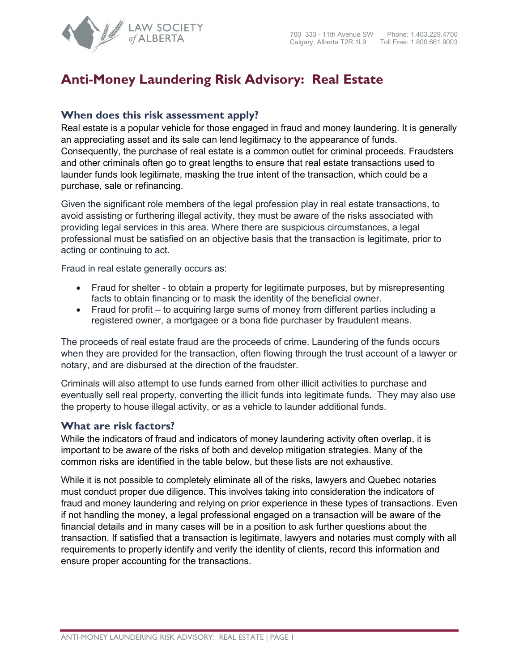

## **Anti-Money Laundering Risk Advisory: Real Estate**

## **When does this risk assessment apply?**

Real estate is a popular vehicle for those engaged in fraud and money laundering. It is generally an appreciating asset and its sale can lend legitimacy to the appearance of funds. Consequently, the purchase of real estate is a common outlet for criminal proceeds. Fraudsters and other criminals often go to great lengths to ensure that real estate transactions used to launder funds look legitimate, masking the true intent of the transaction, which could be a purchase, sale or refinancing.

Given the significant role members of the legal profession play in real estate transactions, to avoid assisting or furthering illegal activity, they must be aware of the risks associated with providing legal services in this area. Where there are suspicious circumstances, a legal professional must be satisfied on an objective basis that the transaction is legitimate, prior to acting or continuing to act.

Fraud in real estate generally occurs as:

- Fraud for shelter to obtain a property for legitimate purposes, but by misrepresenting facts to obtain financing or to mask the identity of the beneficial owner.
- Fraud for profit to acquiring large sums of money from different parties including a registered owner, a mortgagee or a bona fide purchaser by fraudulent means.

The proceeds of real estate fraud are the proceeds of crime. Laundering of the funds occurs when they are provided for the transaction, often flowing through the trust account of a lawyer or notary, and are disbursed at the direction of the fraudster.

Criminals will also attempt to use funds earned from other illicit activities to purchase and eventually sell real property, converting the illicit funds into legitimate funds. They may also use the property to house illegal activity, or as a vehicle to launder additional funds.

## **What are risk factors?**

While the indicators of fraud and indicators of money laundering activity often overlap, it is important to be aware of the risks of both and develop mitigation strategies. Many of the common risks are identified in the table below, but these lists are not exhaustive.

While it is not possible to completely eliminate all of the risks, lawyers and Quebec notaries must conduct proper due diligence. This involves taking into consideration the indicators of fraud and money laundering and relying on prior experience in these types of transactions. Even if not handling the money, a legal professional engaged on a transaction will be aware of the financial details and in many cases will be in a position to ask further questions about the transaction. If satisfied that a transaction is legitimate, lawyers and notaries must comply with all requirements to properly identify and verify the identity of clients, record this information and ensure proper accounting for the transactions.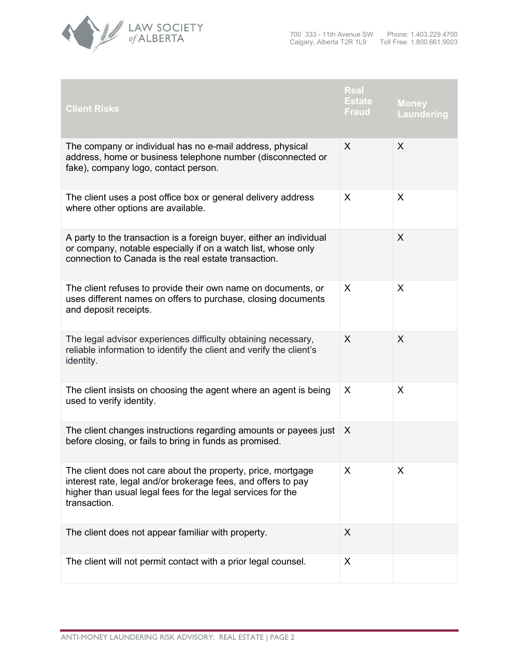

| <b>Client Risks</b>                                                                                                                                                                                          | Real<br><b>Estate</b><br><b>Fraud</b> | <b>Money</b><br><b>Laundering</b> |
|--------------------------------------------------------------------------------------------------------------------------------------------------------------------------------------------------------------|---------------------------------------|-----------------------------------|
| The company or individual has no e-mail address, physical<br>address, home or business telephone number (disconnected or<br>fake), company logo, contact person.                                             | X                                     | X                                 |
| The client uses a post office box or general delivery address<br>where other options are available.                                                                                                          | X                                     | X                                 |
| A party to the transaction is a foreign buyer, either an individual<br>or company, notable especially if on a watch list, whose only<br>connection to Canada is the real estate transaction.                 |                                       | X                                 |
| The client refuses to provide their own name on documents, or<br>uses different names on offers to purchase, closing documents<br>and deposit receipts.                                                      | X                                     | X                                 |
| The legal advisor experiences difficulty obtaining necessary,<br>reliable information to identify the client and verify the client's<br>identity.                                                            | X                                     | X                                 |
| The client insists on choosing the agent where an agent is being<br>used to verify identity.                                                                                                                 | X                                     | X                                 |
| The client changes instructions regarding amounts or payees just<br>before closing, or fails to bring in funds as promised.                                                                                  | X                                     |                                   |
| The client does not care about the property, price, mortgage<br>interest rate, legal and/or brokerage fees, and offers to pay<br>higher than usual legal fees for the legal services for the<br>transaction. | X                                     | X                                 |
| The client does not appear familiar with property.                                                                                                                                                           | X                                     |                                   |
| The client will not permit contact with a prior legal counsel.                                                                                                                                               | X                                     |                                   |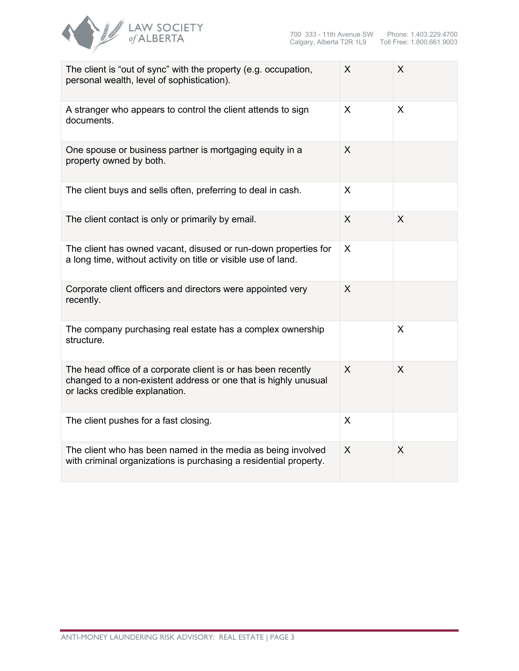

| The client is "out of sync" with the property (e.g. occupation,<br>personal wealth, level of sophistication).                                                      | X | X |
|--------------------------------------------------------------------------------------------------------------------------------------------------------------------|---|---|
| A stranger who appears to control the client attends to sign<br>documents.                                                                                         | X | X |
| One spouse or business partner is mortgaging equity in a<br>property owned by both.                                                                                | X |   |
| The client buys and sells often, preferring to deal in cash.                                                                                                       | X |   |
| The client contact is only or primarily by email.                                                                                                                  | X | X |
| The client has owned vacant, disused or run-down properties for<br>a long time, without activity on title or visible use of land.                                  | X |   |
| Corporate client officers and directors were appointed very<br>recently.                                                                                           | X |   |
| The company purchasing real estate has a complex ownership<br>structure.                                                                                           |   | X |
| The head office of a corporate client is or has been recently<br>changed to a non-existent address or one that is highly unusual<br>or lacks credible explanation. | X | X |
| The client pushes for a fast closing.                                                                                                                              | X |   |
| The client who has been named in the media as being involved<br>with criminal organizations is purchasing a residential property.                                  | X | X |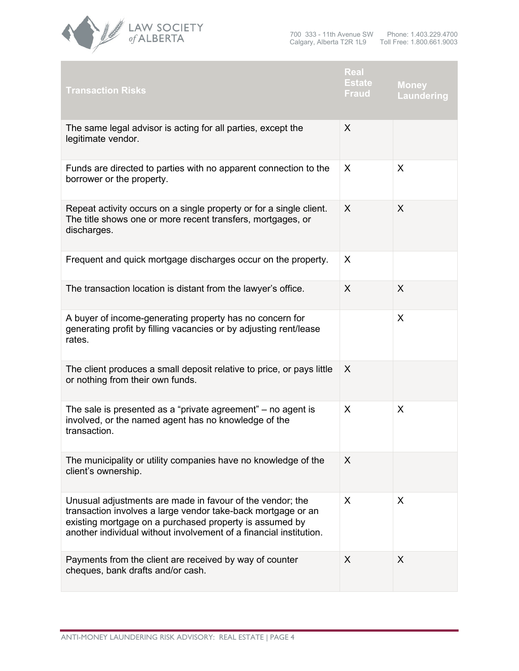

| <b>Transaction Risks</b>                                                                                                                                                                                                                                   | Real<br>Estate<br><b>Fraud</b> | <b>Money</b><br><b>Laundering</b> |
|------------------------------------------------------------------------------------------------------------------------------------------------------------------------------------------------------------------------------------------------------------|--------------------------------|-----------------------------------|
| The same legal advisor is acting for all parties, except the<br>legitimate vendor.                                                                                                                                                                         | X                              |                                   |
| Funds are directed to parties with no apparent connection to the<br>borrower or the property.                                                                                                                                                              | X                              | X                                 |
| Repeat activity occurs on a single property or for a single client.<br>The title shows one or more recent transfers, mortgages, or<br>discharges.                                                                                                          | X                              | X                                 |
| Frequent and quick mortgage discharges occur on the property.                                                                                                                                                                                              | X                              |                                   |
| The transaction location is distant from the lawyer's office.                                                                                                                                                                                              | X                              | X                                 |
| A buyer of income-generating property has no concern for<br>generating profit by filling vacancies or by adjusting rent/lease<br>rates.                                                                                                                    |                                | X                                 |
| The client produces a small deposit relative to price, or pays little<br>or nothing from their own funds.                                                                                                                                                  | X                              |                                   |
| The sale is presented as a "private agreement" $-$ no agent is<br>involved, or the named agent has no knowledge of the<br>transaction.                                                                                                                     | X                              | X                                 |
| The municipality or utility companies have no knowledge of the<br>client's ownership.                                                                                                                                                                      | X                              |                                   |
| Unusual adjustments are made in favour of the vendor; the<br>transaction involves a large vendor take-back mortgage or an<br>existing mortgage on a purchased property is assumed by<br>another individual without involvement of a financial institution. | X                              | X                                 |
| Payments from the client are received by way of counter<br>cheques, bank drafts and/or cash.                                                                                                                                                               | X                              | X                                 |